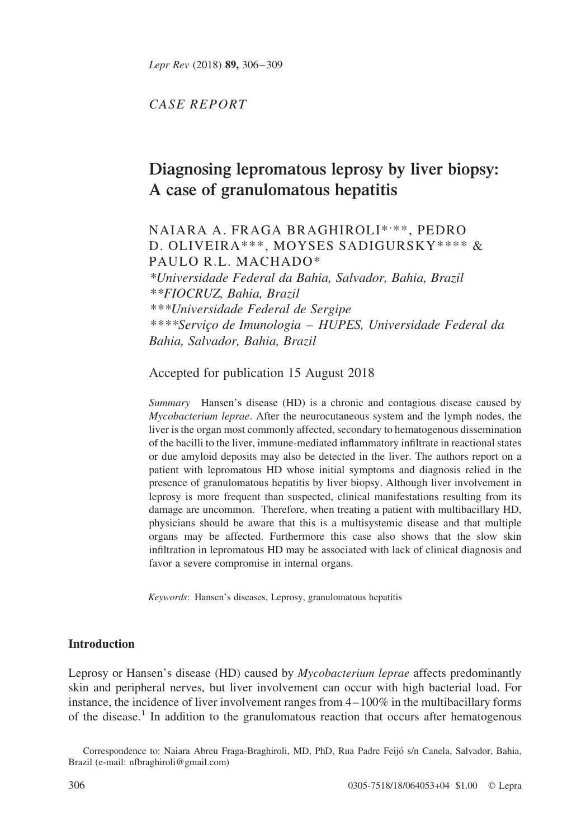CASE REPORT

# Diagnosing lepromatous leprosy by liver biopsy: A case of granulomatous hepatitis

## NAIARA A. FRAGA BRAGHIROLI\*, \*\*, PEDRO D. OLIVEIRA\*\*\*, MOYSES SADIGURSKY\*\*\*\* & PAULO R.L. MACHADO\*

\*Universidade Federal da Bahia, Salvador, Bahia, Brazil \*\*FIOCRUZ, Bahia, Brazil \*\*\*Universidade Federal de Sergipe \*\*\*\*Servic¸o de Imunologia – HUPES, Universidade Federal da Bahia, Salvador, Bahia, Brazil

Accepted for publication 15 August 2018

Summary Hansen's disease (HD) is a chronic and contagious disease caused by Mycobacterium leprae. After the neurocutaneous system and the lymph nodes, the liver is the organ most commonly affected, secondary to hematogenous dissemination of the bacilli to the liver, immune-mediated inflammatory infiltrate in reactional states or due amyloid deposits may also be detected in the liver. The authors report on a patient with lepromatous HD whose initial symptoms and diagnosis relied in the presence of granulomatous hepatitis by liver biopsy. Although liver involvement in leprosy is more frequent than suspected, clinical manifestations resulting from its damage are uncommon. Therefore, when treating a patient with multibacillary HD, physicians should be aware that this is a multisystemic disease and that multiple organs may be affected. Furthermore this case also shows that the slow skin infiltration in lepromatous HD may be associated with lack of clinical diagnosis and favor a severe compromise in internal organs.

Keywords: Hansen's diseases, Leprosy, granulomatous hepatitis

### **Introduction**

Leprosy or Hansen's disease (HD) caused by *Mycobacterium leprae* affects predominantly skin and peripheral nerves, but liver involvement can occur with high bacterial load. For instance, the incidence of liver involvement ranges from 4–100% in the multibacillary forms of the disease.<sup>[1](#page-3-0)</sup> In addition to the granulomatous reaction that occurs after hematogenous

Correspondence to: Naiara Abreu Fraga-Braghiroli, MD, PhD, Rua Padre Feijo´ s/n Canela, Salvador, Bahia, Brazil (e-mail: nfbraghiroli@gmail.com)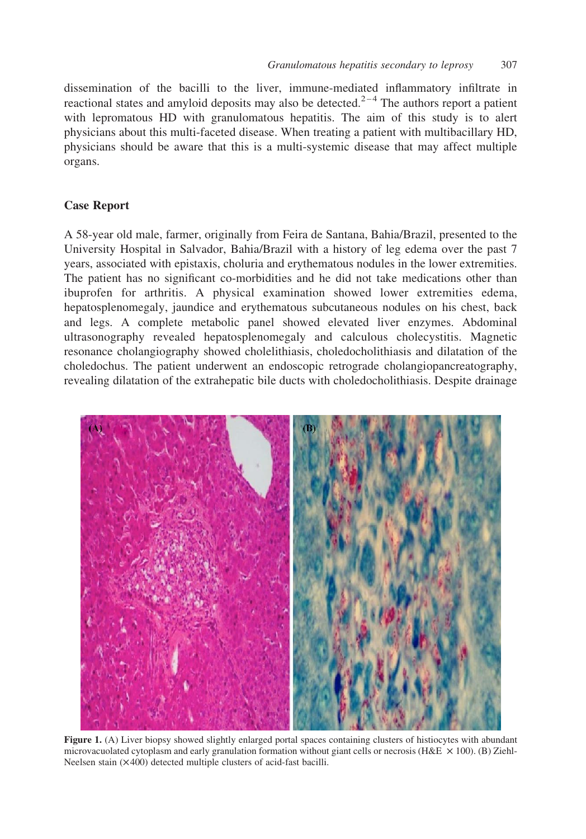<span id="page-1-0"></span>dissemination of the bacilli to the liver, immune-mediated inflammatory infiltrate in reactional states and amyloid deposits may also be detected.<sup>2-4</sup> The authors report a patient with lepromatous HD with granulomatous hepatitis. The aim of this study is to alert physicians about this multi-faceted disease. When treating a patient with multibacillary HD, physicians should be aware that this is a multi-systemic disease that may affect multiple organs.

#### Case Report

A 58-year old male, farmer, originally from Feira de Santana, Bahia/Brazil, presented to the University Hospital in Salvador, Bahia/Brazil with a history of leg edema over the past 7 years, associated with epistaxis, choluria and erythematous nodules in the lower extremities. The patient has no significant co-morbidities and he did not take medications other than ibuprofen for arthritis. A physical examination showed lower extremities edema, hepatosplenomegaly, jaundice and erythematous subcutaneous nodules on his chest, back and legs. A complete metabolic panel showed elevated liver enzymes. Abdominal ultrasonography revealed hepatosplenomegaly and calculous cholecystitis. Magnetic resonance cholangiography showed cholelithiasis, choledocholithiasis and dilatation of the choledochus. The patient underwent an endoscopic retrograde cholangiopancreatography, revealing dilatation of the extrahepatic bile ducts with choledocholithiasis. Despite drainage



Figure 1. (A) Liver biopsy showed slightly enlarged portal spaces containing clusters of histiocytes with abundant microvacuolated cytoplasm and early granulation formation without giant cells or necrosis (H&E  $\times$  100). (B) Ziehl-Neelsen stain  $(X400)$  detected multiple clusters of acid-fast bacilli.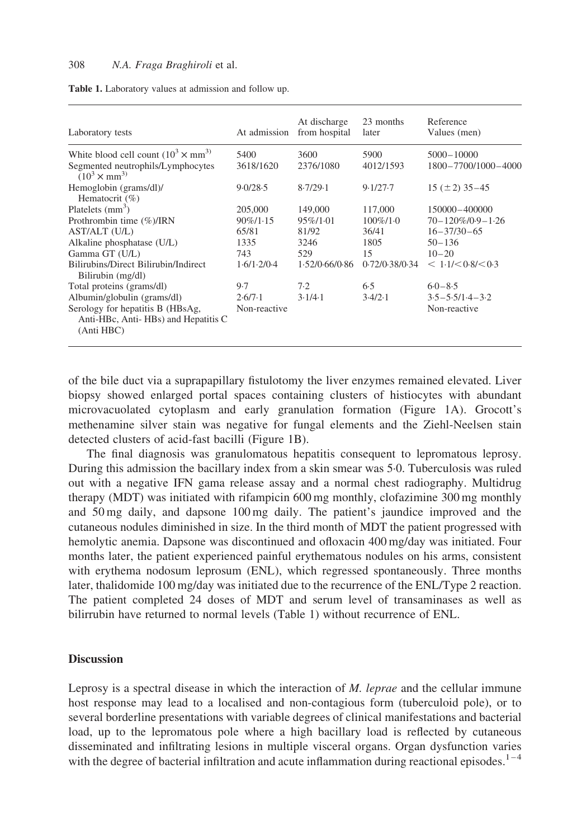| Laboratory tests                                                                      | At admission | At discharge<br>from hospital | 23 months<br>later | Reference<br>Values (men) |
|---------------------------------------------------------------------------------------|--------------|-------------------------------|--------------------|---------------------------|
| White blood cell count $(10^3 \times \text{mm}^3)$                                    | 5400         | 3600                          | 5900               | $5000 - 10000$            |
| Segmented neutrophils/Lymphocytes<br>$(10^3 \times \text{mm}^3)$                      | 3618/1620    | 2376/1080                     | 4012/1593          | 1800-7700/1000-4000       |
| Hemoglobin (grams/dl)/<br>Hematocrit (%)                                              | 9.0/28.5     | 8.7/29.1                      | 9.1/27.7           | $15 (\pm 2) 35 - 45$      |
| Platelets $(mm3)$                                                                     | 205,000      | 149,000                       | 117,000            | 150000-400000             |
| Prothrombin time $(\%)/IRN$                                                           | $90\%/1.15$  | $95\%/1.01$                   | $100\%/10$         | $70 - 120\% / 0.9 - 1.26$ |
| AST/ALT (U/L)                                                                         | 65/81        | 81/92                         | 36/41              | $16 - 37/30 - 65$         |
| Alkaline phosphatase (U/L)                                                            | 1335         | 3246                          | 1805               | $50 - 136$                |
| Gamma GT (U/L)                                                                        | 743          | 529                           | 15                 | $10 - 20$                 |
| Bilirubins/Direct Bilirubin/Indirect<br>Bilirubin (mg/dl)                             | 1.6/1.2/0.4  | 1.52/0.66/0.86                | 0.72/0.38/0.34     | < 1.1 / < 0.8 / < 0.3     |
| Total proteins (grams/dl)                                                             | 9.7          | 7.2                           | 6.5                | $6.0 - 8.5$               |
| Albumin/globulin (grams/dl)                                                           | 2.6/7.1      | 3.1/4.1                       | 3.4/2.1            | $3.5 - 5.5/1.4 - 3.2$     |
| Serology for hepatitis B (HBsAg,<br>Anti-HBc, Anti-HBs) and Hepatitis C<br>(Anti HBC) | Non-reactive |                               |                    | Non-reactive              |

| Table 1. Laboratory values at admission and follow up. |  |
|--------------------------------------------------------|--|
|--------------------------------------------------------|--|

of the bile duct via a suprapapillary fistulotomy the liver enzymes remained elevated. Liver biopsy showed enlarged portal spaces containing clusters of histiocytes with abundant microvacuolated cytoplasm and early granulation formation [\(Figure 1A\)](#page-1-0). Grocott's methenamine silver stain was negative for fungal elements and the Ziehl-Neelsen stain detected clusters of acid-fast bacilli [\(Figure 1B\)](#page-1-0).

The final diagnosis was granulomatous hepatitis consequent to lepromatous leprosy. During this admission the bacillary index from a skin smear was 5·0. Tuberculosis was ruled out with a negative IFN gama release assay and a normal chest radiography. Multidrug therapy (MDT) was initiated with rifampicin 600 mg monthly, clofazimine 300 mg monthly and 50 mg daily, and dapsone 100 mg daily. The patient's jaundice improved and the cutaneous nodules diminished in size. In the third month of MDT the patient progressed with hemolytic anemia. Dapsone was discontinued and ofloxacin 400 mg/day was initiated. Four months later, the patient experienced painful erythematous nodules on his arms, consistent with erythema nodosum leprosum (ENL), which regressed spontaneously. Three months later, thalidomide 100 mg/day was initiated due to the recurrence of the ENL/Type 2 reaction. The patient completed 24 doses of MDT and serum level of transaminases as well as bilirrubin have returned to normal levels (Table 1) without recurrence of ENL.

#### **Discussion**

Leprosy is a spectral disease in which the interaction of M. leprae and the cellular immune host response may lead to a localised and non-contagious form (tuberculoid pole), or to several borderline presentations with variable degrees of clinical manifestations and bacterial load, up to the lepromatous pole where a high bacillary load is reflected by cutaneous disseminated and infiltrating lesions in multiple visceral organs. Organ dysfunction varies with the degree of bacterial infiltration and acute inflammation during reactional episodes.<sup>1-4</sup>